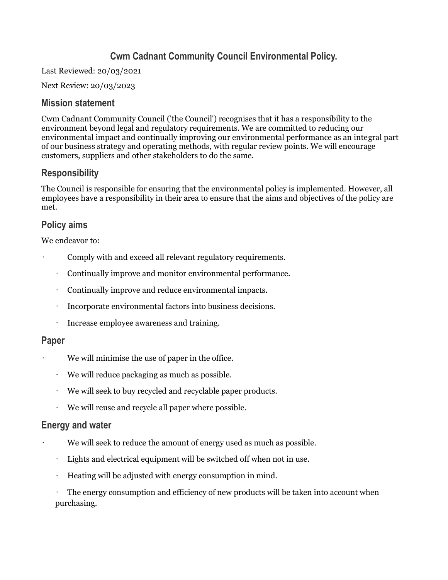# **Cwm Cadnant Community Council Environmental Policy.**

Last Reviewed: 20/03/2021

Next Review: 20/03/2023

#### **Mission statement**

Cwm Cadnant Community Council ('the Council') recognises that it has a responsibility to the environment beyond legal and regulatory requirements. We are committed to reducing our environmental impact and continually improving our environmental performance as an integral part of our business strategy and operating methods, with regular review points. We will encourage customers, suppliers and other stakeholders to do the same.

## **Responsibility**

The Council is responsible for ensuring that the environmental policy is implemented. However, all employees have a responsibility in their area to ensure that the aims and objectives of the policy are met.

## **Policy aims**

We endeavor to:

- Comply with and exceed all relevant regulatory requirements.
	- Continually improve and monitor environmental performance.
	- Continually improve and reduce environmental impacts.
	- Incorporate environmental factors into business decisions.
	- Increase employee awareness and training.

#### **Paper**

- We will minimise the use of paper in the office.
- We will reduce packaging as much as possible.
- We will seek to buy recycled and recyclable paper products.
- We will reuse and recycle all paper where possible.

#### **Energy and water**

- We will seek to reduce the amount of energy used as much as possible.
- Lights and electrical equipment will be switched off when not in use.
- Heating will be adjusted with energy consumption in mind.

• The energy consumption and efficiency of new products will be taken into account when purchasing.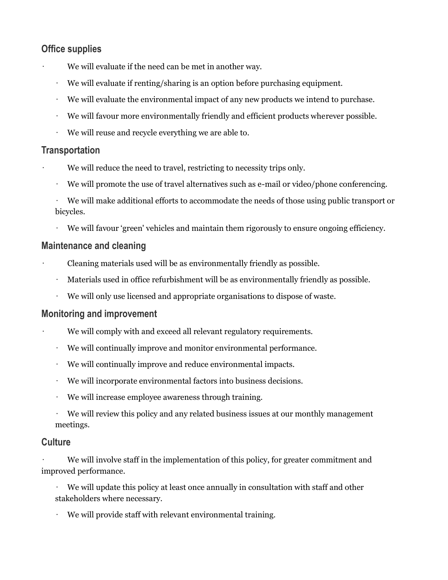## **Office supplies**

- We will evaluate if the need can be met in another way.
- We will evaluate if renting/sharing is an option before purchasing equipment.
- We will evaluate the environmental impact of any new products we intend to purchase.
- We will favour more environmentally friendly and efficient products wherever possible.
- We will reuse and recycle everything we are able to.

## **Transportation**

- We will reduce the need to travel, restricting to necessity trips only.
- We will promote the use of travel alternatives such as e-mail or video/phone conferencing.
- We will make additional efforts to accommodate the needs of those using public transport or bicycles.
- We will favour 'green' vehicles and maintain them rigorously to ensure ongoing efficiency.

### **Maintenance and cleaning**

- Cleaning materials used will be as environmentally friendly as possible.
- Materials used in office refurbishment will be as environmentally friendly as possible.
- We will only use licensed and appropriate organisations to dispose of waste.

### **Monitoring and improvement**

- We will comply with and exceed all relevant regulatory requirements.
- We will continually improve and monitor environmental performance.
- We will continually improve and reduce environmental impacts.
- We will incorporate environmental factors into business decisions.
- We will increase employee awareness through training.
- $\cdot$  We will review this policy and any related business issues at our monthly management meetings.

### **Culture**

We will involve staff in the implementation of this policy, for greater commitment and improved performance.

We will update this policy at least once annually in consultation with staff and other stakeholders where necessary.

• We will provide staff with relevant environmental training.